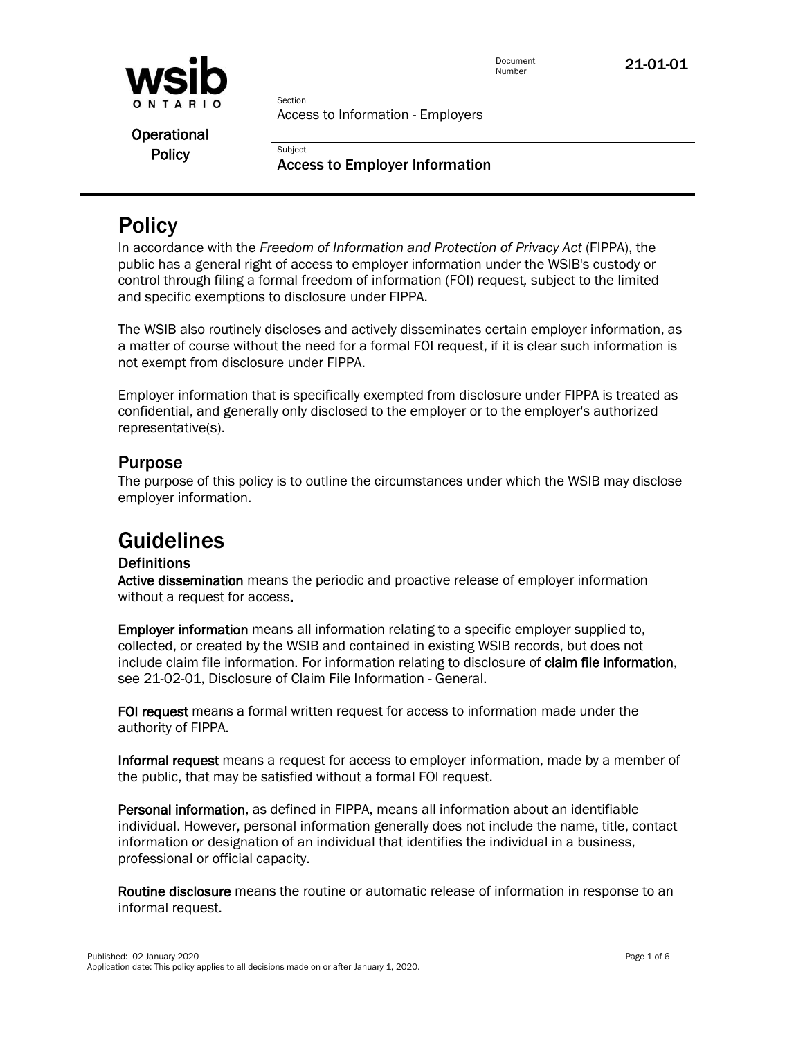

Section

**Subject** 

Operational **Policy** 

Access to Employer Information

# **Policy**

In accordance with the *Freedom of Information and Protection of Privacy Act* (FIPPA), the public has a general right of access to employer information under the WSIB's custody or control through filing a formal freedom of information (FOI) request*,* subject to the limited and specific exemptions to disclosure under FIPPA.

The WSIB also routinely discloses and actively disseminates certain employer information, as a matter of course without the need for a formal FOI request, if it is clear such information is not exempt from disclosure under FIPPA.

Employer information that is specifically exempted from disclosure under FIPPA is treated as confidential, and generally only disclosed to the employer or to the employer's authorized representative(s).

## Purpose

The purpose of this policy is to outline the circumstances under which the WSIB may disclose employer information.

# Guidelines

## **Definitions**

Active dissemination means the periodic and proactive release of employer information without a request for access.

Employer information means all information relating to a specific employer supplied to, collected, or created by the WSIB and contained in existing WSIB records, but does not include claim file information. For information relating to disclosure of claim file information, see 21-02-01, Disclosure of Claim File Information - General.

FOI request means a formal written request for access to information made under the authority of FIPPA.

Informal request means a request for access to employer information, made by a member of the public, that may be satisfied without a formal FOI request.

Personal information, as defined in FIPPA, means all information about an identifiable individual. However, personal information generally does not include the name, title, contact information or designation of an individual that identifies the individual in a business, professional or official capacity.

Routine disclosure means the routine or automatic release of information in response to an informal request.

Published: 02 January 2020 Page 1 of 6 Application date: This policy applies to all decisions made on or after January 1, 2020.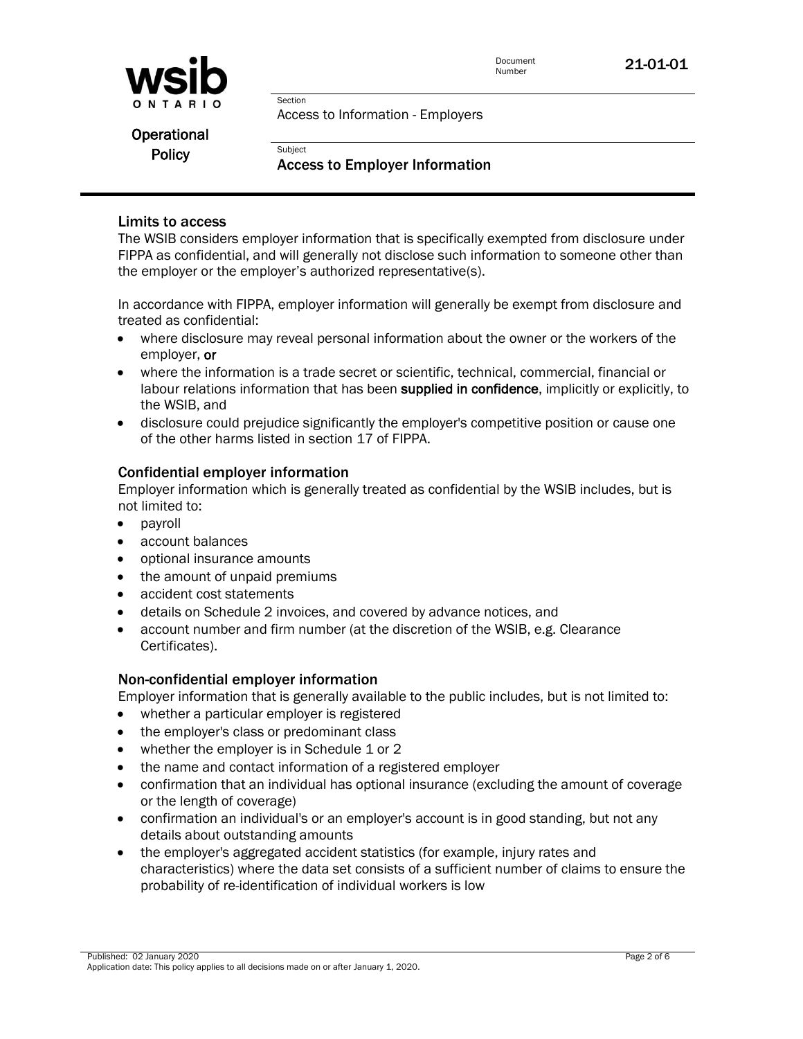

Section

Subject

#### Operational **Policy**

### Access to Employer Information

### Limits to access

The WSIB considers employer information that is specifically exempted from disclosure under FIPPA as confidential, and will generally not disclose such information to someone other than the employer or the employer's authorized representative(s).

In accordance with FIPPA, employer information will generally be exempt from disclosure and treated as confidential:

- where disclosure may reveal personal information about the owner or the workers of the employer, or
- where the information is a trade secret or scientific, technical, commercial, financial or labour relations information that has been supplied in confidence, implicitly or explicitly, to the WSIB, and
- disclosure could prejudice significantly the employer's competitive position or cause one of the other harms listed in section 17 of FIPPA.

#### Confidential employer information

Employer information which is generally treated as confidential by the WSIB includes, but is not limited to:

- payroll
- account balances
- optional insurance amounts
- the amount of unpaid premiums
- accident cost statements
- details on Schedule 2 invoices, and covered by advance notices, and
- account number and firm number (at the discretion of the WSIB, e.g. Clearance Certificates).

#### Non-confidential employer information

Employer information that is generally available to the public includes, but is not limited to:

- whether a particular employer is registered
- the employer's class or predominant class
- whether the employer is in Schedule 1 or 2
- the name and contact information of a registered employer
- confirmation that an individual has optional insurance (excluding the amount of coverage or the length of coverage)
- confirmation an individual's or an employer's account is in good standing, but not any details about outstanding amounts
- the employer's aggregated accident statistics (for example, injury rates and characteristics) where the data set consists of a sufficient number of claims to ensure the probability of re-identification of individual workers is low

Published: 02 January 2020 Page 2 of 6 Application date: This policy applies to all decisions made on or after January 1, 2020.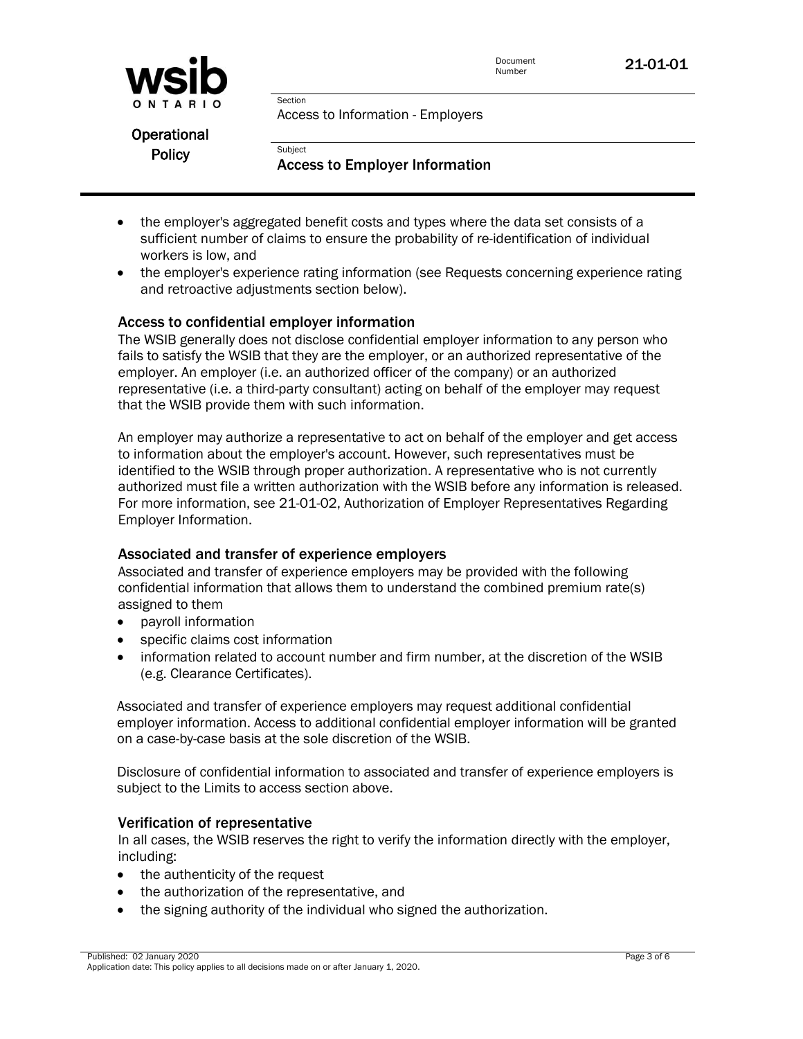



Operational **Policy** 

Access to Employer Information

- the employer's aggregated benefit costs and types where the data set consists of a sufficient number of claims to ensure the probability of re-identification of individual workers is low, and
- the employer's experience rating information (see Requests concerning experience rating and retroactive adjustments section below).

### Access to confidential employer information

Section

**Subject** 

The WSIB generally does not disclose confidential employer information to any person who fails to satisfy the WSIB that they are the employer, or an authorized representative of the employer. An employer (i.e. an authorized officer of the company) or an authorized representative (i.e. a third-party consultant) acting on behalf of the employer may request that the WSIB provide them with such information.

An employer may authorize a representative to act on behalf of the employer and get access to information about the employer's account. However, such representatives must be identified to the WSIB through proper authorization. A representative who is not currently authorized must file a written authorization with the WSIB before any information is released. For more information, see 21-01-02, Authorization of Employer Representatives Regarding Employer Information.

#### Associated and transfer of experience employers

Associated and transfer of experience employers may be provided with the following confidential information that allows them to understand the combined premium rate(s) assigned to them

- payroll information
- specific claims cost information
- information related to account number and firm number, at the discretion of the WSIB (e.g. Clearance Certificates).

Associated and transfer of experience employers may request additional confidential employer information. Access to additional confidential employer information will be granted on a case-by-case basis at the sole discretion of the WSIB.

Disclosure of confidential information to associated and transfer of experience employers is subject to the Limits to access section above.

#### Verification of representative

In all cases, the WSIB reserves the right to verify the information directly with the employer, including:

- the authenticity of the request
- the authorization of the representative, and
- the signing authority of the individual who signed the authorization.

Published: 02 January 2020 Page 3 of 6 Application date: This policy applies to all decisions made on or after January 1, 2020.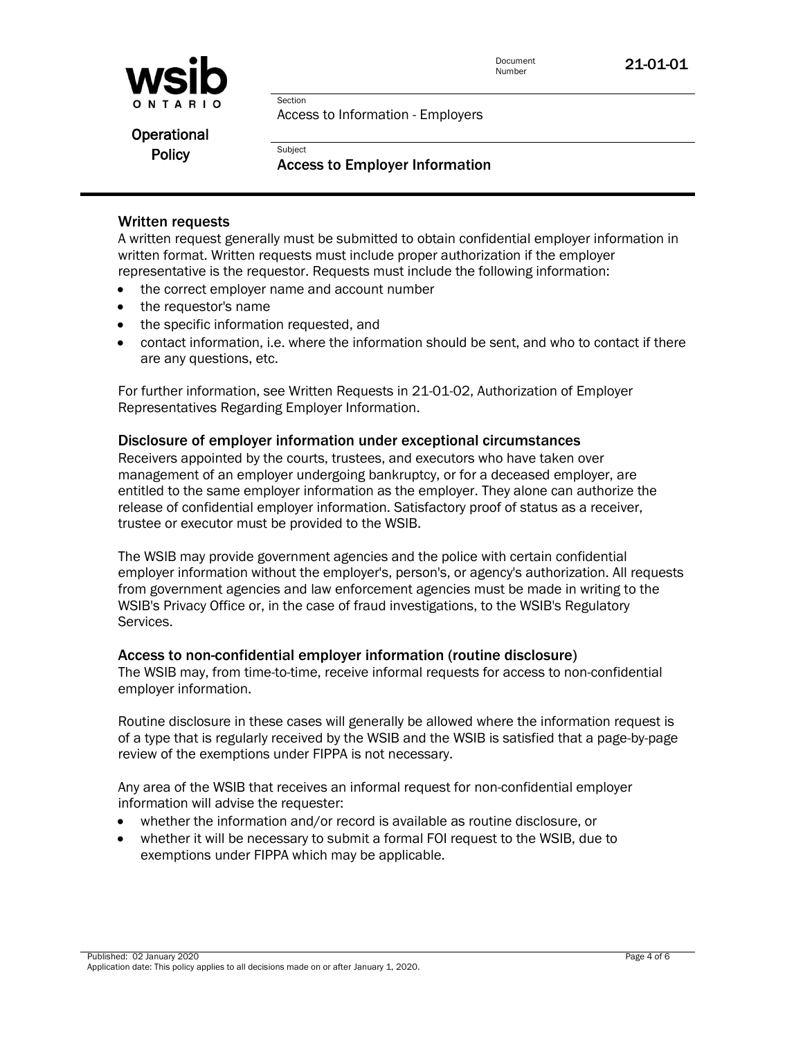

Operational **Policy** 

Access to Employer Information

### Written requests

A written request generally must be submitted to obtain confidential employer information in written format. Written requests must include proper authorization if the employer representative is the requestor. Requests must include the following information:

• the correct employer name and account number

Section

**Subject** 

- the requestor's name
- the specific information requested, and
- contact information, i.e. where the information should be sent, and who to contact if there are any questions, etc.

For further information, see Written Requests in 21-01-02, Authorization of Employer Representatives Regarding Employer Information.

#### Disclosure of employer information under exceptional circumstances

Receivers appointed by the courts, trustees, and executors who have taken over management of an employer undergoing bankruptcy, or for a deceased employer, are entitled to the same employer information as the employer. They alone can authorize the release of confidential employer information. Satisfactory proof of status as a receiver, trustee or executor must be provided to the WSIB.

The WSIB may provide government agencies and the police with certain confidential employer information without the employer's, person's, or agency's authorization. All requests from government agencies and law enforcement agencies must be made in writing to the WSIB's Privacy Office or, in the case of fraud investigations, to the WSIB's Regulatory Services.

#### Access to non-confidential employer information (routine disclosure)

The WSIB may, from time-to-time, receive informal requests for access to non-confidential employer information.

Routine disclosure in these cases will generally be allowed where the information request is of a type that is regularly received by the WSIB and the WSIB is satisfied that a page-by-page review of the exemptions under FIPPA is not necessary.

Any area of the WSIB that receives an informal request for non-confidential employer information will advise the requester:

- whether the information and/or record is available as routine disclosure, or
- whether it will be necessary to submit a formal FOI request to the WSIB, due to exemptions under FIPPA which may be applicable.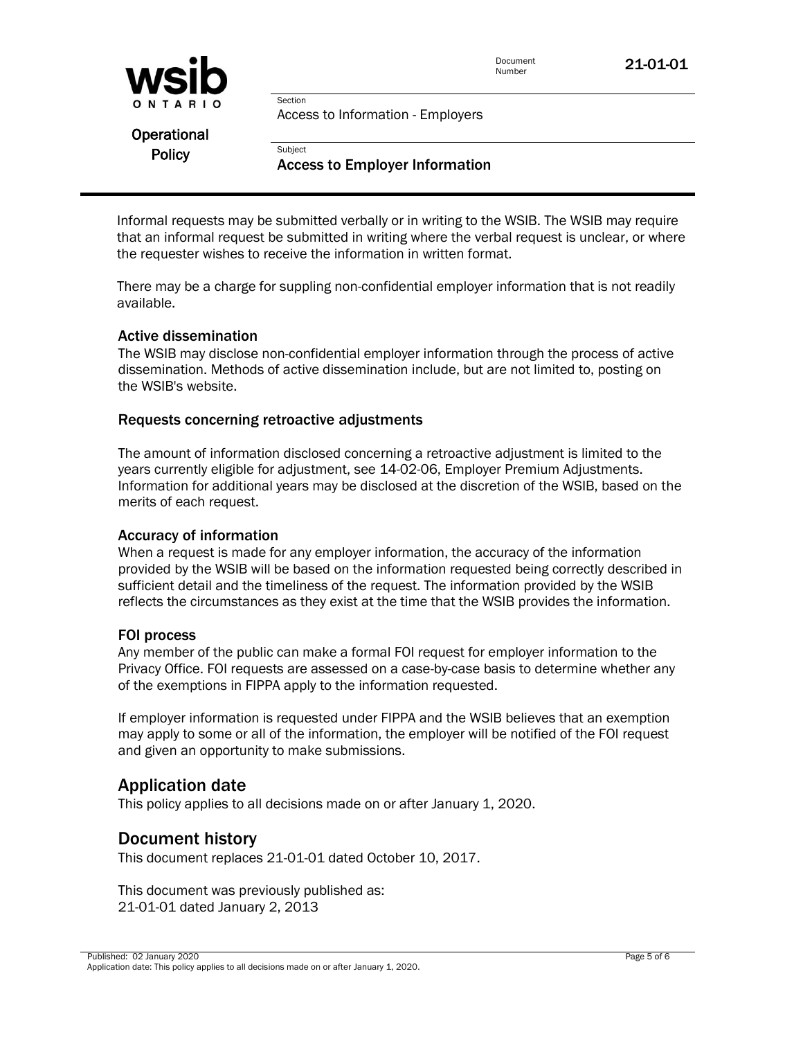



Operational **Policy** 

Access to Employer Information

Informal requests may be submitted verbally or in writing to the WSIB. The WSIB may require that an informal request be submitted in writing where the verbal request is unclear, or where the requester wishes to receive the information in written format.

There may be a charge for suppling non-confidential employer information that is not readily available.

#### Active dissemination

The WSIB may disclose non-confidential employer information through the process of active dissemination. Methods of active dissemination include, but are not limited to, posting on the WSIB's website.

#### Requests concerning retroactive adjustments

Section

**Subject** 

The amount of information disclosed concerning a retroactive adjustment is limited to the years currently eligible for adjustment, see [14-02-06,](http://www.wsib.on.ca/WSIBPortal/faces/WSIBManualPage?cGUID=13-02-07&rDef=WSIB_RD_OPM&fGUID=835502100635000488) Employer Premium Adjustments. Information for additional years may be disclosed at the discretion of the WSIB, based on the merits of each request.

#### Accuracy of information

When a request is made for any employer information, the accuracy of the information provided by the WSIB will be based on the information requested being correctly described in sufficient detail and the timeliness of the request. The information provided by the WSIB reflects the circumstances as they exist at the time that the WSIB provides the information.

#### FOI process

Any member of the public can make a formal FOI request for employer information to the Privacy Office. FOI requests are assessed on a case-by-case basis to determine whether any of the exemptions in FIPPA apply to the information requested.

If employer information is requested under FIPPA and the WSIB believes that an exemption may apply to some or all of the information, the employer will be notified of the FOI request and given an opportunity to make submissions.

## Application date

This policy applies to all decisions made on or after January 1, 2020.

## Document history

This document replaces 21-01-01 dated October 10, 2017.

This document was previously published as: 21-01-01 dated January 2, 2013

Published: 02 January 2020 Page 5 of 6 Application date: This policy applies to all decisions made on or after January 1, 2020.